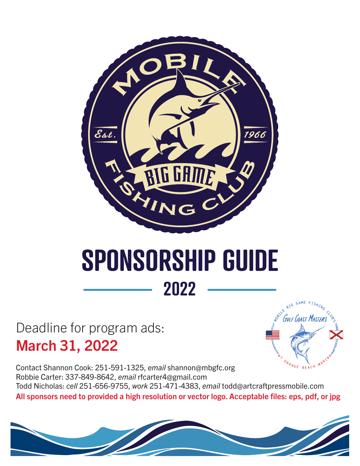

### **SPONSORSHIP GUIDE 2022**

**MOBILE** 

 $\overline{\mathcal{F}}_{\mathcal{F}}$ 

BIG GAME FISHING

CL<sub>OS</sub> s

Deadline for program ads: March 31, 2022

 $o_{R_{A_{N_{GE}}}}$ EACH MARINN Contact Shannon Cook: 251-591-1325, *email* shannon@mbgfc.org Robbie Carter: 337-849-8642, *email* rfcarter4@gmail.com Todd Nicholas: *cell* 251-656-9755, *work* 251-471-4383, *email* todd@artcraftpressmobile.com All sponsors need to provided a high resolution or vector logo. Acceptable files: eps, pdf, or jpg

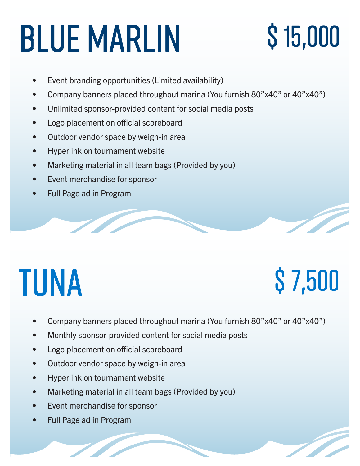# BLUE MARLIN \$15,000

- Event branding opportunities (Limited availability)
- Company banners placed throughout marina (You furnish 80"x40" or 40"x40")
- Unlimited sponsor-provided content for social media posts
- Logo placement on official scoreboard
- Outdoor vendor space by weigh-in area
- Hyperlink on tournament website
- Marketing material in all team bags (Provided by you)
- Event merchandise for sponsor
- Full Page ad in Program

# TUNA \$ 7,500

- Company banners placed throughout marina (You furnish 80"x40" or 40"x40")
- Monthly sponsor-provided content for social media posts
- Logo placement on official scoreboard
- Outdoor vendor space by weigh-in area
- Hyperlink on tournament website
- Marketing material in all team bags (Provided by you)
- Event merchandise for sponsor
- Full Page ad in Program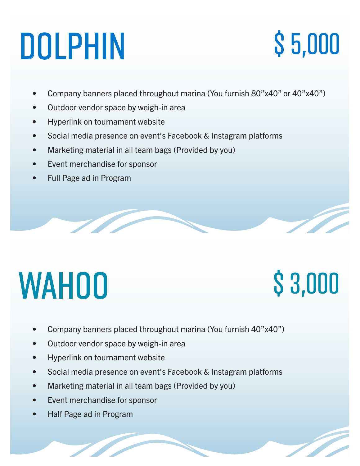# DOLPHIN \$ 5,000

- Company banners placed throughout marina (You furnish 80"x40" or 40"x40")
- Outdoor vendor space by weigh-in area
- Hyperlink on tournament website
- Social media presence on event's Facebook & Instagram platforms
- Marketing material in all team bags (Provided by you)
- Event merchandise for sponsor
- Full Page ad in Program

# WAHOO \$3,000

- Company banners placed throughout marina (You furnish 40"x40")
- Outdoor vendor space by weigh-in area
- Hyperlink on tournament website
- Social media presence on event's Facebook & Instagram platforms
- Marketing material in all team bags (Provided by you)
- Event merchandise for sponsor
- Half Page ad in Program